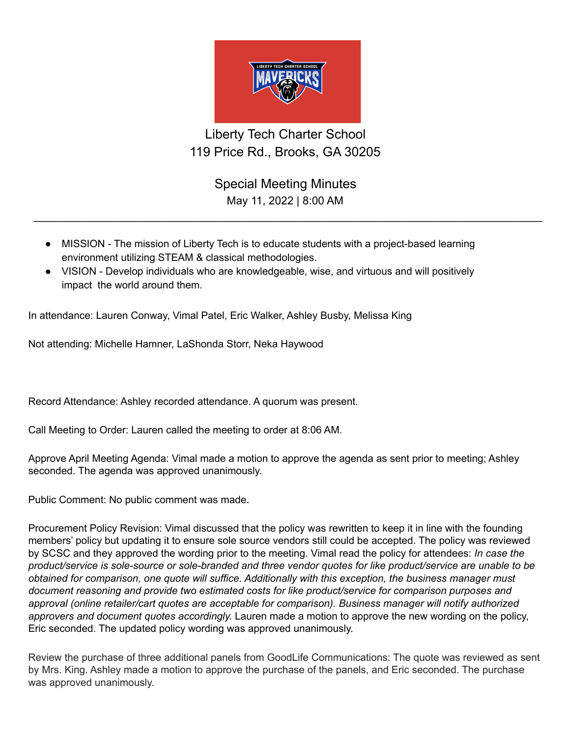

## Liberty Tech Charter School 119 Price Rd., Brooks, GA 30205

Special Meeting Minutes May 11, 2022 | 8:00 AM

 $\_$ 

- MISSION The mission of Liberty Tech is to educate students with a project-based learning environment utilizing STEAM & classical methodologies.
- VISION Develop individuals who are knowledgeable, wise, and virtuous and will positively impact the world around them.

In attendance: Lauren Conway, Vimal Patel, Eric Walker, Ashley Busby, Melissa King

Not attending: Michelle Hamner, LaShonda Storr, Neka Haywood

Record Attendance: Ashley recorded attendance. A quorum was present.

Call Meeting to Order: Lauren called the meeting to order at 8:06 AM.

Approve April Meeting Agenda: Vimal made a motion to approve the agenda as sent prior to meeting; Ashley seconded. The agenda was approved unanimously.

Public Comment: No public comment was made.

Procurement Policy Revision: Vimal discussed that the policy was rewritten to keep it in line with the founding members' policy but updating it to ensure sole source vendors still could be accepted. The policy was reviewed by SCSC and they approved the wording prior to the meeting. Vimal read the policy for attendees: *In case the product/service is sole-source or sole-branded and three vendor quotes for like product/service are unable to be obtained for comparison, one quote will suffice. Additionally with this exception, the business manager must document reasoning and provide two estimated costs for like product/service for comparison purposes and approval (online retailer/cart quotes are acceptable for comparison). Business manager will notify authorized approvers and document quotes accordingly.* Lauren made a motion to approve the new wording on the policy, Eric seconded. The updated policy wording was approved unanimously.

Review the purchase of three additional panels from GoodLife Communications: The quote was reviewed as sent by Mrs. King. Ashley made a motion to approve the purchase of the panels, and Eric seconded. The purchase was approved unanimously.